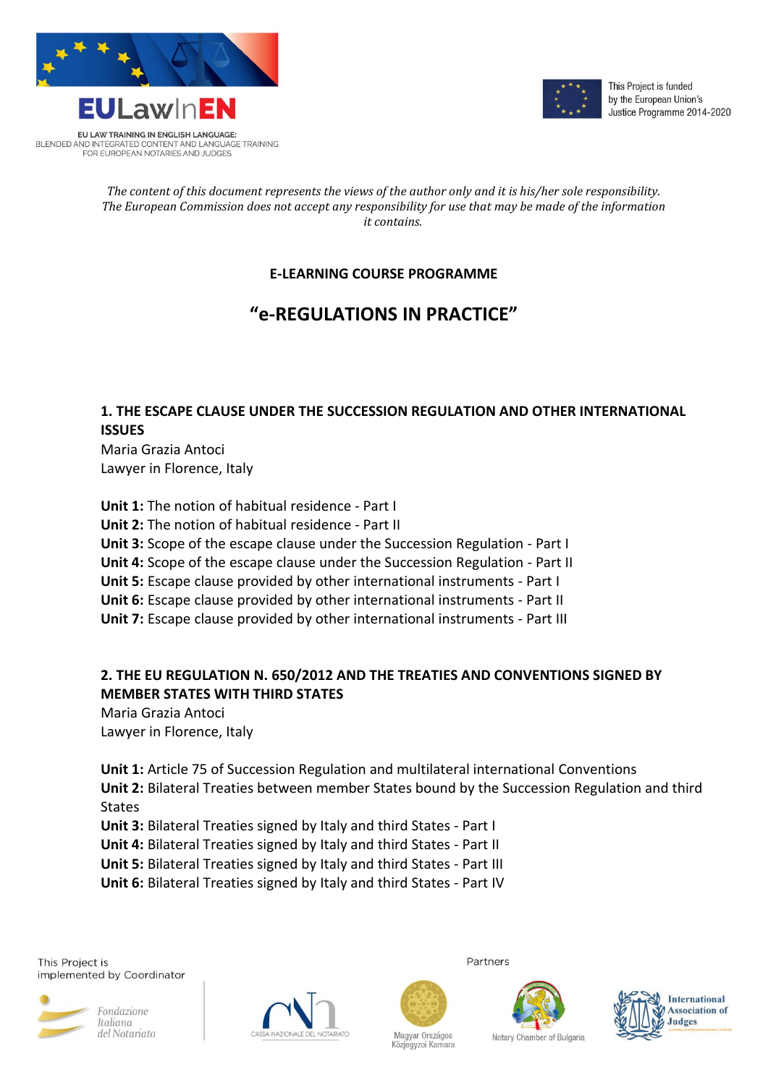



This Project is funded by the European Union's Justice Programme 2014-2020

#### *The content of this document represents the views of the author only and it is his/her sole responsibility. The European Commission does not accept any responsibility for use that may be made of the information it contains.*

# **E-LEARNING COURSE PROGRAMME**

# **"e-REGULATIONS IN PRACTICE"**

## **1. THE ESCAPE CLAUSE UNDER THE SUCCESSION REGULATION AND OTHER INTERNATIONAL ISSUES**

Maria Grazia Antoci Lawyer in Florence, Italy

**Unit 1:** The notion of habitual residence - Part I **Unit 2:** The notion of habitual residence - Part II **Unit 3:** Scope of the escape clause under the Succession Regulation - Part I **Unit 4:** Scope of the escape clause under the Succession Regulation - Part II **Unit 5:** Escape clause provided by other international instruments - Part I **Unit 6:** Escape clause provided by other international instruments - Part II **Unit 7:** Escape clause provided by other international instruments - Part III

## **2. THE EU REGULATION N. 650/2012 AND THE TREATIES AND CONVENTIONS SIGNED BY MEMBER STATES WITH THIRD STATES**

Maria Grazia Antoci Lawyer in Florence, Italy

**Unit 1:** Article 75 of Succession Regulation and multilateral international Conventions **Unit 2:** Bilateral Treaties between member States bound by the Succession Regulation and third States

**Unit 3:** Bilateral Treaties signed by Italy and third States - Part I

**Unit 4:** Bilateral Treaties signed by Italy and third States - Part II

**Unit 5:** Bilateral Treaties signed by Italy and third States - Part III

**Unit 6:** Bilateral Treaties signed by Italy and third States - Part IV

This Project is implemented by Coordinator





Partners

Magyar Országos



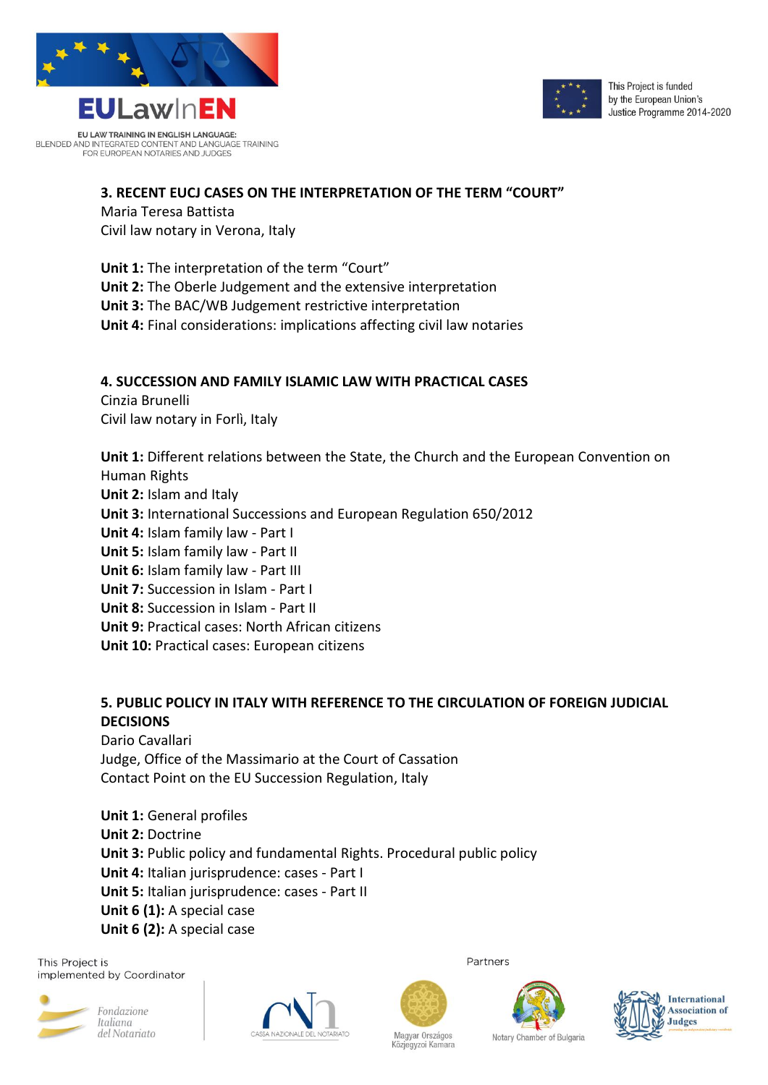

BLENDED AND INTEGRATED CONTENT AND LANGUAGE TRAINING<br>FOR EUROPEAN NOTARIES AND JUDGES



#### **3. RECENT EUCJ CASES ON THE INTERPRETATION OF THE TERM "COURT"**

#### Maria Teresa Battista

Civil law notary in Verona, Italy

**Unit 1:** The interpretation of the term "Court" **Unit 2:** The Oberle Judgement and the extensive interpretation **Unit 3:** The BAC/WB Judgement restrictive interpretation **Unit 4:** Final considerations: implications affecting civil law notaries

#### **4. SUCCESSION AND FAMILY ISLAMIC LAW WITH PRACTICAL CASES**

Cinzia Brunelli Civil law notary in Forlì, Italy

**Unit 1:** Different relations between the State, the Church and the European Convention on Human Rights **Unit 2:** Islam and Italy **Unit 3:** International Successions and European Regulation 650/2012 **Unit 4:** Islam family law - Part I **Unit 5:** Islam family law - Part II **Unit 6:** Islam family law - Part III **Unit 7:** Succession in Islam - Part I **Unit 8:** Succession in Islam - Part II **Unit 9:** Practical cases: North African citizens **Unit 10:** Practical cases: European citizens

# **5. PUBLIC POLICY IN ITALY WITH REFERENCE TO THE CIRCULATION OF FOREIGN JUDICIAL DECISIONS**

Dario Cavallari Judge, Office of the Massimario at the Court of Cassation Contact Point on the EU Succession Regulation, Italy

**Unit 1:** General profiles **Unit 2:** Doctrine **Unit 3:** Public policy and fundamental Rights. Procedural public policy **Unit 4:** Italian jurisprudence: cases - Part I **Unit 5:** Italian jurisprudence: cases - Part II **Unit 6 (1):** A special case **Unit 6 (2):** A special case

This Project is implemented by Coordinator





Partners





Magyar Országos Közjegyzoi Kamara Notary Chamber of Bulgaria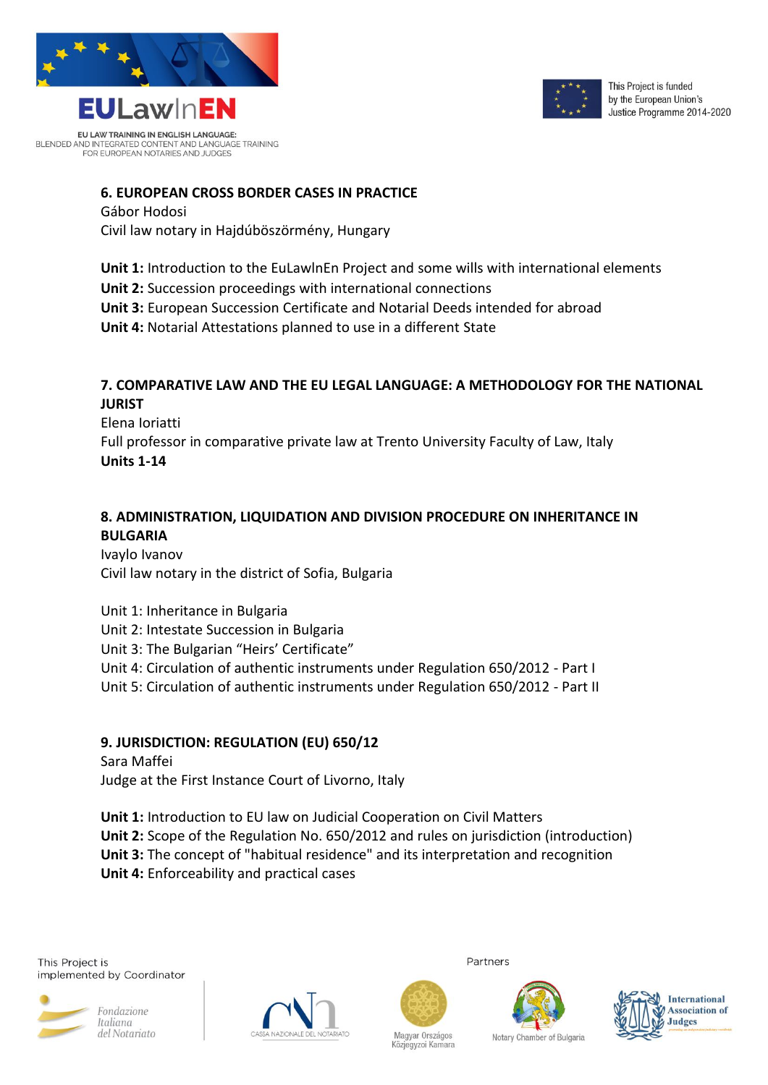



#### **6. EUROPEAN CROSS BORDER CASES IN PRACTICE**

#### Gábor Hodosi

Civil law notary in Hajdúböszörmény, Hungary

**Unit 1:** Introduction to the EuLawlnEn Project and some wills with international elements **Unit 2:** Succession proceedings with international connections **Unit 3:** European Succession Certificate and Notarial Deeds intended for abroad **Unit 4:** Notarial Attestations planned to use in a different State

### **7. COMPARATIVE LAW AND THE EU LEGAL LANGUAGE: A METHODOLOGY FOR THE NATIONAL JURIST**

Elena Ioriatti Full professor in comparative private law at Trento University Faculty of Law, Italy **Units 1-14**

### **8. ADMINISTRATION, LIQUIDATION AND DIVISION PROCEDURE ON INHERITANCE IN BULGARIA**

Ivaylo Ivanov Civil law notary in the district of Sofia, Bulgaria

Unit 1: Inheritance in Bulgaria Unit 2: Intestate Succession in Bulgaria Unit 3: The Bulgarian "Heirs' Certificate" Unit 4: Circulation of authentic instruments under Regulation 650/2012 - Part I Unit 5: Circulation of authentic instruments under Regulation 650/2012 - Part II

#### **9. JURISDICTION: REGULATION (EU) 650/12**

Sara Maffei Judge at the First Instance Court of Livorno, Italy

**Unit 1:** Introduction to EU law on Judicial Cooperation on Civil Matters **Unit 2:** Scope of the Regulation No. 650/2012 and rules on jurisdiction (introduction) **Unit 3:** The concept of "habitual residence" and its interpretation and recognition **Unit 4:** Enforceability and practical cases





Partners

Magyar Országos



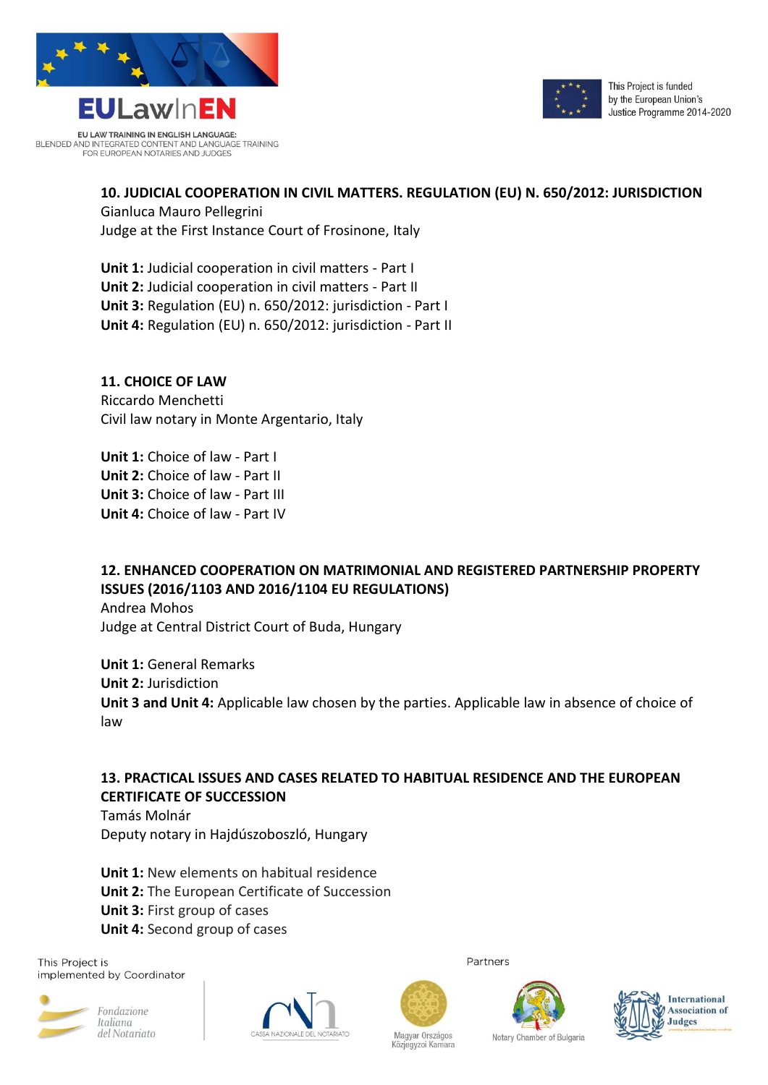



### **10. JUDICIAL COOPERATION IN CIVIL MATTERS. REGULATION (EU) N. 650/2012: JURISDICTION**

Gianluca Mauro Pellegrini Judge at the First Instance Court of Frosinone, Italy

**Unit 1:** Judicial cooperation in civil matters - Part I **Unit 2:** Judicial cooperation in civil matters - Part II **Unit 3:** Regulation (EU) n. 650/2012: jurisdiction - Part I **Unit 4:** Regulation (EU) n. 650/2012: jurisdiction - Part II

**11. CHOICE OF LAW** Riccardo Menchetti

Civil law notary in Monte Argentario, Italy

**Unit 1:** Choice of law - Part I **Unit 2:** Choice of law - Part II

**Unit 3:** Choice of law - Part III **Unit 4:** Choice of law - Part IV

# **12. ENHANCED COOPERATION ON MATRIMONIAL AND REGISTERED PARTNERSHIP PROPERTY ISSUES (2016/1103 AND 2016/1104 EU REGULATIONS)**

Andrea Mohos Judge at Central District Court of Buda, Hungary

**Unit 1:** General Remarks **Unit 2:** Jurisdiction **Unit 3 and Unit 4:** Applicable law chosen by the parties. Applicable law in absence of choice of law

# **13. PRACTICAL ISSUES AND CASES RELATED TO HABITUAL RESIDENCE AND THE EUROPEAN CERTIFICATE OF SUCCESSION**

Tamás Molnár Deputy notary in Hajdúszoboszló, Hungary

**Unit 1:** New elements on habitual residence **Unit 2:** The European Certificate of Succession **Unit 3:** First group of cases **Unit 4:** Second group of cases

This Project is implemented by Coordinator







Partners

Magyar Országos



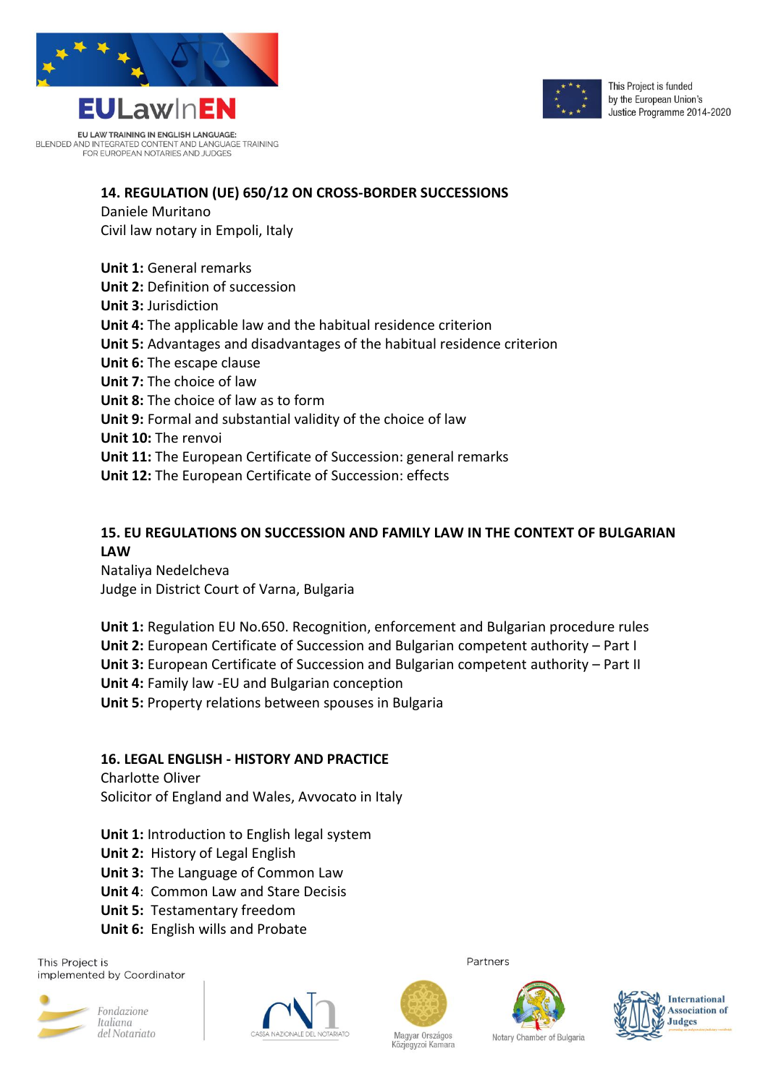

EU LAW TRAINING IN ENGLISH LANGUAGE: BLENDED AND INTEGRATED CONTENT AND LANGUAGE TRAINING<br>FOR EUROPEAN NOTARIES AND JUDGES



#### **14. REGULATION (UE) 650/12 ON CROSS-BORDER SUCCESSIONS**

Daniele Muritano Civil law notary in Empoli, Italy

**Unit 1:** General remarks **Unit 2:** Definition of succession **Unit 3:** Jurisdiction **Unit 4:** The applicable law and the habitual residence criterion **Unit 5:** Advantages and disadvantages of the habitual residence criterion **Unit 6:** The escape clause **Unit 7:** The choice of law **Unit 8:** The choice of law as to form **Unit 9:** Formal and substantial validity of the choice of law **Unit 10:** The renvoi **Unit 11:** The European Certificate of Succession: general remarks **Unit 12:** The European Certificate of Succession: effects

#### **15. EU REGULATIONS ON SUCCESSION AND FAMILY LAW IN THE CONTEXT OF BULGARIAN LAW**

Nataliya Nedelcheva Judge in District Court of Varna, Bulgaria

**Unit 1:** Regulation EU No.650. Recognition, enforcement and Bulgarian procedure rules **Unit 2:** European Certificate of Succession and Bulgarian competent authority – Part I **Unit 3:** European Certificate of Succession and Bulgarian competent authority – Part II **Unit 4:** Family law -EU and Bulgarian conception **Unit 5:** Property relations between spouses in Bulgaria

#### **16. LEGAL ENGLISH - HISTORY AND PRACTICE**

Charlotte Oliver Solicitor of England and Wales, Avvocato in Italy

- **Unit 1:** Introduction to English legal system
- **Unit 2:** History of Legal English
- **Unit 3:** The Language of Common Law
- **Unit 4**: Common Law and Stare Decisis
- **Unit 5:** Testamentary freedom
- **Unit 6:** English wills and Probate

This Project is implemented by Coordinator





Partners

Magyar Országos